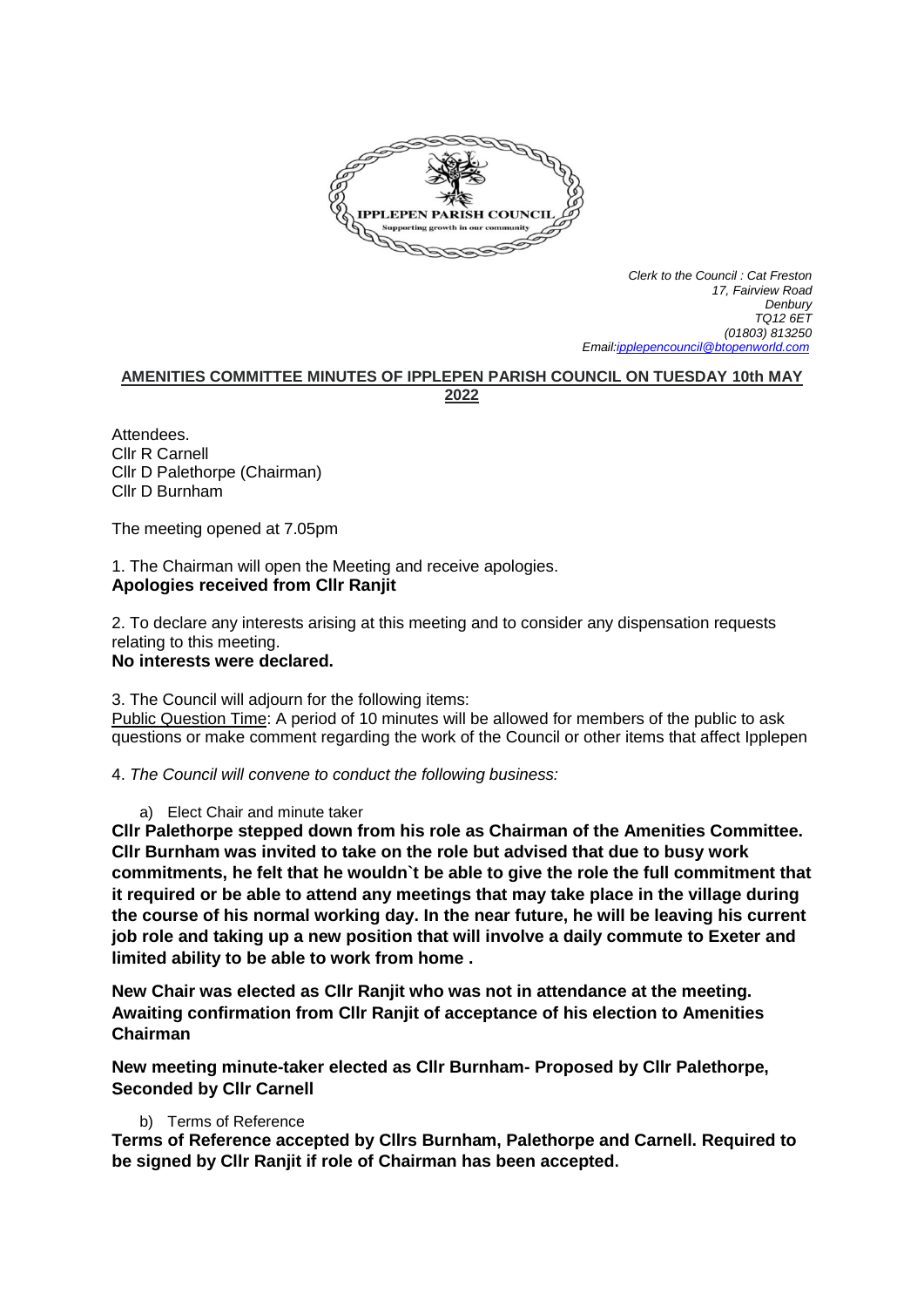

*Clerk to the Council : Cat Freston 17, Fairview Road Denbury TQ12 6ET (01803) 813250 Emai[l:ipplepencouncil@btopenworld.com](mailto:ipplepencouncil@btopenworld.com)*

# **AMENITIES COMMITTEE MINUTES OF IPPLEPEN PARISH COUNCIL ON TUESDAY 10th MAY 2022**

Attendees. Cllr R Carnell Cllr D Palethorpe (Chairman) Cllr D Burnham

The meeting opened at 7.05pm

1. The Chairman will open the Meeting and receive apologies. **Apologies received from Cllr Ranjit**

2. To declare any interests arising at this meeting and to consider any dispensation requests relating to this meeting.

**No interests were declared.**

3. The Council will adjourn for the following items:

Public Question Time: A period of 10 minutes will be allowed for members of the public to ask questions or make comment regarding the work of the Council or other items that affect Ipplepen

4. *The Council will convene to conduct the following business:*

a) Elect Chair and minute taker

**Cllr Palethorpe stepped down from his role as Chairman of the Amenities Committee. Cllr Burnham was invited to take on the role but advised that due to busy work commitments, he felt that he wouldn`t be able to give the role the full commitment that it required or be able to attend any meetings that may take place in the village during the course of his normal working day. In the near future, he will be leaving his current job role and taking up a new position that will involve a daily commute to Exeter and limited ability to be able to work from home .**

**New Chair was elected as Cllr Ranjit who was not in attendance at the meeting. Awaiting confirmation from Cllr Ranjit of acceptance of his election to Amenities Chairman**

**New meeting minute-taker elected as Cllr Burnham- Proposed by Cllr Palethorpe, Seconded by Cllr Carnell**

# b) Terms of Reference

**Terms of Reference accepted by Cllrs Burnham, Palethorpe and Carnell. Required to be signed by Cllr Ranjit if role of Chairman has been accepted.**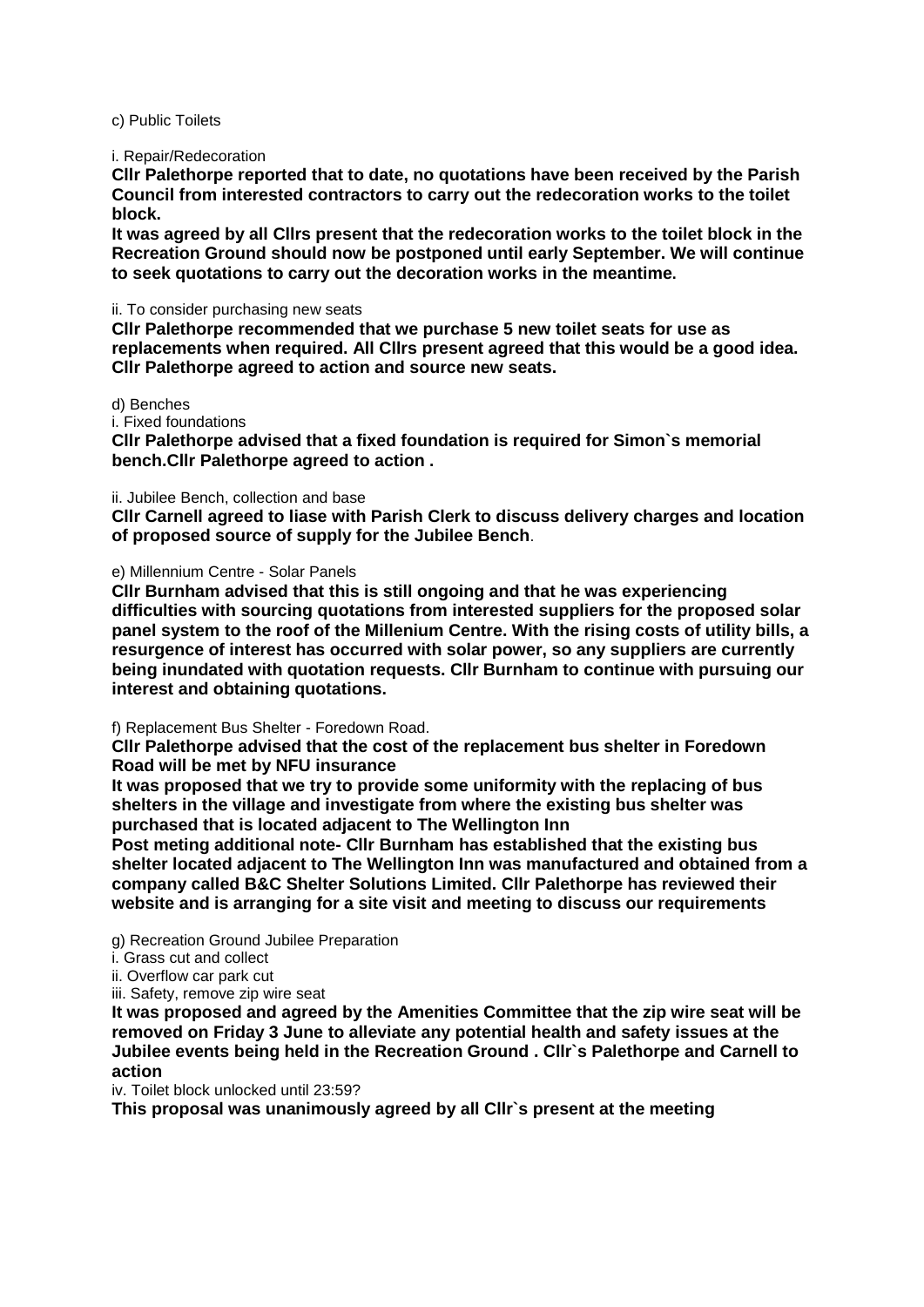#### c) Public Toilets

#### i. Repair/Redecoration

**Cllr Palethorpe reported that to date, no quotations have been received by the Parish Council from interested contractors to carry out the redecoration works to the toilet block.**

**It was agreed by all Cllrs present that the redecoration works to the toilet block in the Recreation Ground should now be postponed until early September. We will continue to seek quotations to carry out the decoration works in the meantime.**

#### ii. To consider purchasing new seats

**Cllr Palethorpe recommended that we purchase 5 new toilet seats for use as replacements when required. All Cllrs present agreed that this would be a good idea. Cllr Palethorpe agreed to action and source new seats.**

# d) Benches

### i. Fixed foundations

**Cllr Palethorpe advised that a fixed foundation is required for Simon`s memorial bench.Cllr Palethorpe agreed to action .**

#### ii. Jubilee Bench, collection and base

**Cllr Carnell agreed to liase with Parish Clerk to discuss delivery charges and location of proposed source of supply for the Jubilee Bench**.

## e) Millennium Centre - Solar Panels

**Cllr Burnham advised that this is still ongoing and that he was experiencing difficulties with sourcing quotations from interested suppliers for the proposed solar panel system to the roof of the Millenium Centre. With the rising costs of utility bills, a resurgence of interest has occurred with solar power, so any suppliers are currently being inundated with quotation requests. Cllr Burnham to continue with pursuing our interest and obtaining quotations.**

# f) Replacement Bus Shelter - Foredown Road.

**Cllr Palethorpe advised that the cost of the replacement bus shelter in Foredown Road will be met by NFU insurance** 

**It was proposed that we try to provide some uniformity with the replacing of bus shelters in the village and investigate from where the existing bus shelter was purchased that is located adjacent to The Wellington Inn**

**Post meting additional note- Cllr Burnham has established that the existing bus shelter located adjacent to The Wellington Inn was manufactured and obtained from a company called B&C Shelter Solutions Limited. Cllr Palethorpe has reviewed their website and is arranging for a site visit and meeting to discuss our requirements**

g) Recreation Ground Jubilee Preparation

- i. Grass cut and collect
- ii. Overflow car park cut
- iii. Safety, remove zip wire seat

**It was proposed and agreed by the Amenities Committee that the zip wire seat will be removed on Friday 3 June to alleviate any potential health and safety issues at the Jubilee events being held in the Recreation Ground . Cllr`s Palethorpe and Carnell to action**

iv. Toilet block unlocked until 23:59?

**This proposal was unanimously agreed by all Cllr`s present at the meeting**